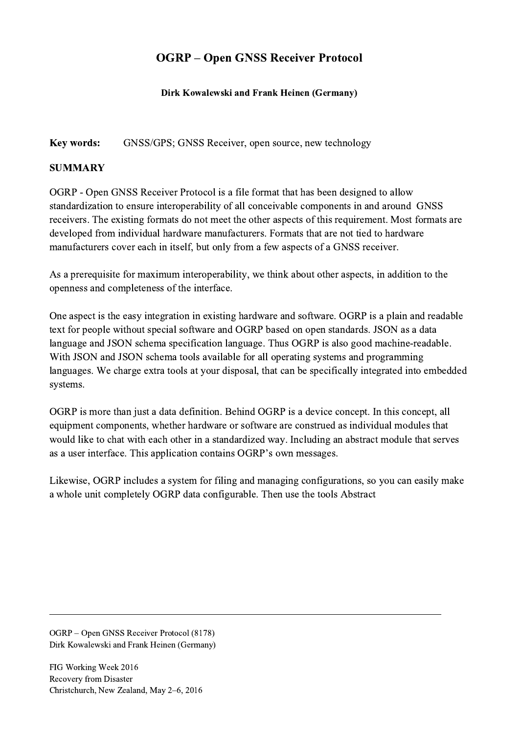## OGRP – Open GNSS Receiver Protocol

## Dirk Kowalewski and Frank Heinen (Germany)

Key words: GNSS/GPS; GNSS Receiver, open source, new technology

## **SUMMARY**

OGRP - Open GNSS Receiver Protocol is a file format that has been designed to allow standardization to ensure interoperability of all conceivable components in and around GNSS receivers. The existing formats do not meet the other aspects of this requirement. Most formats are developed from individual hardware manufacturers. Formats that are not tied to hardware manufacturers cover each in itself, but only from a few aspects of a GNSS receiver.

As a prerequisite for maximum interoperability, we think about other aspects, in addition to the openness and completeness of the interface.

One aspect is the easy integration in existing hardware and software. OGRP is a plain and readable text for people without special software and OGRP based on open standards. JSON as a data language and JSON schema specification language. Thus OGRP is also good machine-readable. With JSON and JSON schema tools available for all operating systems and programming languages. We charge extra tools at your disposal, that can be specifically integrated into embedded systems.

OGRP is more than just a data definition. Behind OGRP is a device concept. In this concept, all equipment components, whether hardware or software are construed as individual modules that would like to chat with each other in a standardized way. Including an abstract module that serves as a user interface. This application contains OGRP's own messages.

Likewise, OGRP includes a system for filing and managing configurations, so you can easily make a whole unit completely OGRP data configurable. Then use the tools Abstract

 $\mathcal{L}_\mathcal{L} = \{ \mathcal{L}_\mathcal{L} = \{ \mathcal{L}_\mathcal{L} = \{ \mathcal{L}_\mathcal{L} = \{ \mathcal{L}_\mathcal{L} = \{ \mathcal{L}_\mathcal{L} = \{ \mathcal{L}_\mathcal{L} = \{ \mathcal{L}_\mathcal{L} = \{ \mathcal{L}_\mathcal{L} = \{ \mathcal{L}_\mathcal{L} = \{ \mathcal{L}_\mathcal{L} = \{ \mathcal{L}_\mathcal{L} = \{ \mathcal{L}_\mathcal{L} = \{ \mathcal{L}_\mathcal{L} = \{ \mathcal{L}_\mathcal{$ 

OGRP – Open GNSS Receiver Protocol (8178) Dirk Kowalewski and Frank Heinen (Germany)

FIG Working Week 2016 Recovery from Disaster Christchurch, New Zealand, May 2–6, 2016